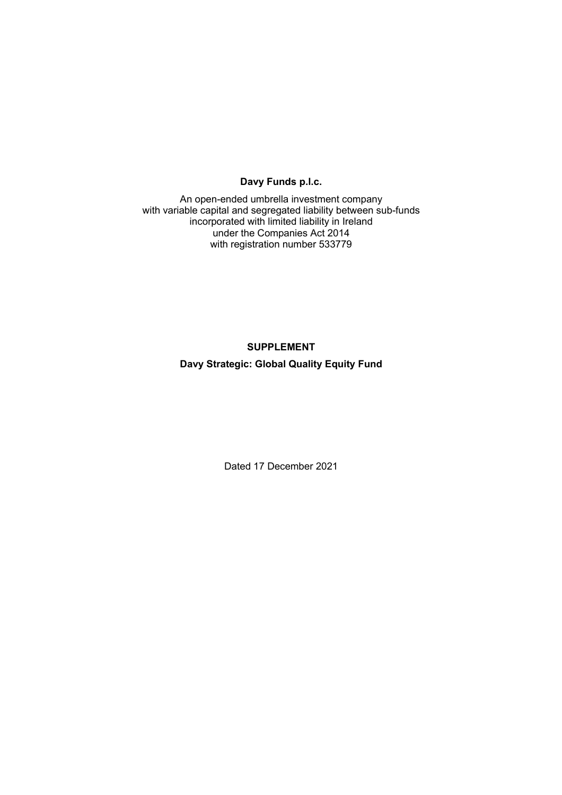# **Davy Funds p.l.c.**

An open-ended umbrella investment company with variable capital and segregated liability between sub-funds incorporated with limited liability in Ireland under the Companies Act 2014 with registration number 533779

## **SUPPLEMENT**

## **Davy Strategic: Global Quality Equity Fund**

Dated 17 December 2021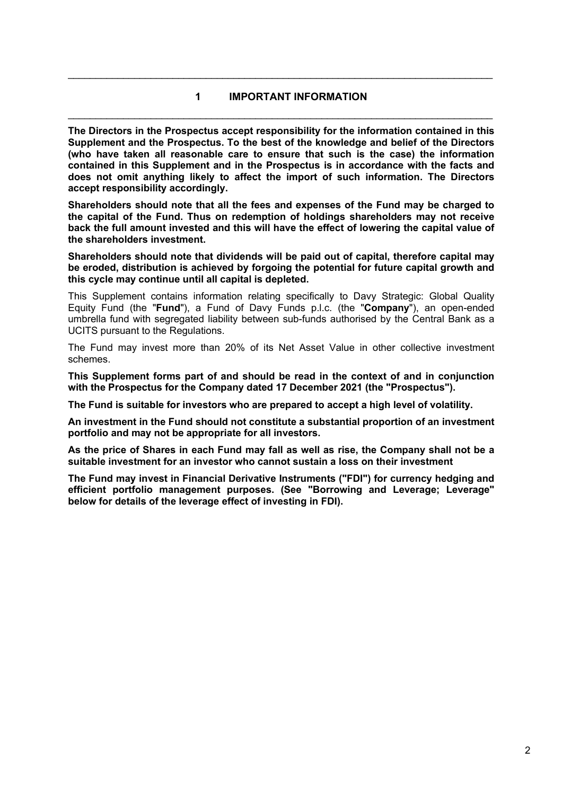# **1 IMPORTANT INFORMATION**  \_\_\_\_\_\_\_\_\_\_\_\_\_\_\_\_\_\_\_\_\_\_\_\_\_\_\_\_\_\_\_\_\_\_\_\_\_\_\_\_\_\_\_\_\_\_\_\_\_\_\_\_\_\_\_\_\_\_\_\_\_\_\_\_\_\_\_\_\_\_\_\_\_\_\_\_\_

\_\_\_\_\_\_\_\_\_\_\_\_\_\_\_\_\_\_\_\_\_\_\_\_\_\_\_\_\_\_\_\_\_\_\_\_\_\_\_\_\_\_\_\_\_\_\_\_\_\_\_\_\_\_\_\_\_\_\_\_\_\_\_\_\_\_\_\_\_\_\_\_\_\_\_\_\_

**The Directors in the Prospectus accept responsibility for the information contained in this Supplement and the Prospectus. To the best of the knowledge and belief of the Directors (who have taken all reasonable care to ensure that such is the case) the information contained in this Supplement and in the Prospectus is in accordance with the facts and does not omit anything likely to affect the import of such information. The Directors accept responsibility accordingly.** 

**Shareholders should note that all the fees and expenses of the Fund may be charged to the capital of the Fund. Thus on redemption of holdings shareholders may not receive back the full amount invested and this will have the effect of lowering the capital value of the shareholders investment.** 

**Shareholders should note that dividends will be paid out of capital, therefore capital may be eroded, distribution is achieved by forgoing the potential for future capital growth and this cycle may continue until all capital is depleted.** 

This Supplement contains information relating specifically to Davy Strategic: Global Quality Equity Fund (the "**Fund**"), a Fund of Davy Funds p.l.c. (the "**Company**"), an open-ended umbrella fund with segregated liability between sub-funds authorised by the Central Bank as a UCITS pursuant to the Regulations.

The Fund may invest more than 20% of its Net Asset Value in other collective investment schemes.

**This Supplement forms part of and should be read in the context of and in conjunction with the Prospectus for the Company dated 17 December 2021 (the "Prospectus").** 

**The Fund is suitable for investors who are prepared to accept a high level of volatility.** 

**An investment in the Fund should not constitute a substantial proportion of an investment portfolio and may not be appropriate for all investors.** 

**As the price of Shares in each Fund may fall as well as rise, the Company shall not be a suitable investment for an investor who cannot sustain a loss on their investment** 

**The Fund may invest in Financial Derivative Instruments ("FDI") for currency hedging and efficient portfolio management purposes. (See "Borrowing and Leverage; Leverage" below for details of the leverage effect of investing in FDI).**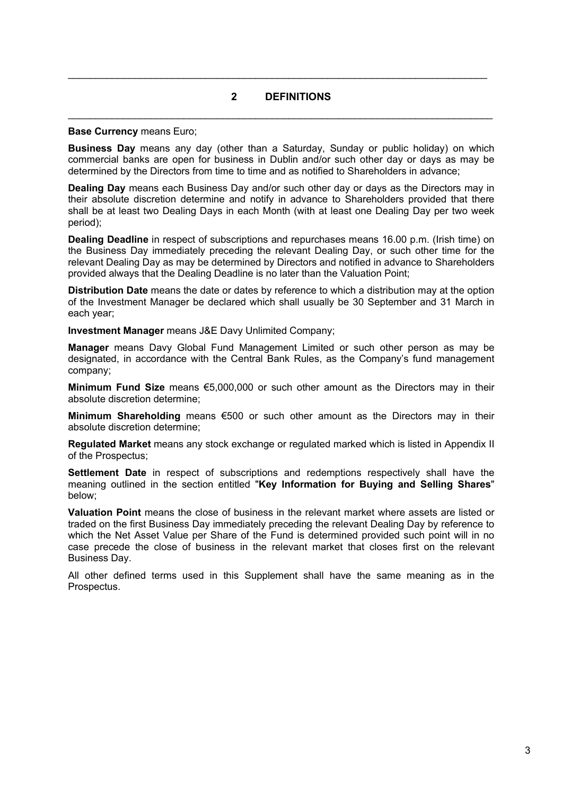## **2 DEFINITIONS**

\_\_\_\_\_\_\_\_\_\_\_\_\_\_\_\_\_\_\_\_\_\_\_\_\_\_\_\_\_\_\_\_\_\_\_\_\_\_\_\_\_\_\_\_\_\_\_\_\_\_\_\_\_\_\_\_\_\_\_\_\_\_\_\_\_\_\_\_\_\_\_\_\_\_\_\_\_

 $\mathcal{L}_\mathcal{L} = \mathcal{L}_\mathcal{L} = \mathcal{L}_\mathcal{L} = \mathcal{L}_\mathcal{L} = \mathcal{L}_\mathcal{L} = \mathcal{L}_\mathcal{L} = \mathcal{L}_\mathcal{L} = \mathcal{L}_\mathcal{L} = \mathcal{L}_\mathcal{L} = \mathcal{L}_\mathcal{L} = \mathcal{L}_\mathcal{L} = \mathcal{L}_\mathcal{L} = \mathcal{L}_\mathcal{L} = \mathcal{L}_\mathcal{L} = \mathcal{L}_\mathcal{L} = \mathcal{L}_\mathcal{L} = \mathcal{L}_\mathcal{L}$ 

#### **Base Currency** means Euro;

**Business Day** means any day (other than a Saturday, Sunday or public holiday) on which commercial banks are open for business in Dublin and/or such other day or days as may be determined by the Directors from time to time and as notified to Shareholders in advance;

**Dealing Day** means each Business Day and/or such other day or days as the Directors may in their absolute discretion determine and notify in advance to Shareholders provided that there shall be at least two Dealing Days in each Month (with at least one Dealing Day per two week period);

**Dealing Deadline** in respect of subscriptions and repurchases means 16.00 p.m. (Irish time) on the Business Day immediately preceding the relevant Dealing Day, or such other time for the relevant Dealing Day as may be determined by Directors and notified in advance to Shareholders provided always that the Dealing Deadline is no later than the Valuation Point;

**Distribution Date** means the date or dates by reference to which a distribution may at the option of the Investment Manager be declared which shall usually be 30 September and 31 March in each year;

**Investment Manager** means J&E Davy Unlimited Company;

**Manager** means Davy Global Fund Management Limited or such other person as may be designated, in accordance with the Central Bank Rules, as the Company's fund management company;

**Minimum Fund Size** means €5,000,000 or such other amount as the Directors may in their absolute discretion determine;

**Minimum Shareholding** means €500 or such other amount as the Directors may in their absolute discretion determine;

**Regulated Market** means any stock exchange or regulated marked which is listed in Appendix II of the Prospectus;

**Settlement Date** in respect of subscriptions and redemptions respectively shall have the meaning outlined in the section entitled "**Key Information for Buying and Selling Shares**" below;

**Valuation Point** means the close of business in the relevant market where assets are listed or traded on the first Business Day immediately preceding the relevant Dealing Day by reference to which the Net Asset Value per Share of the Fund is determined provided such point will in no case precede the close of business in the relevant market that closes first on the relevant Business Day.

All other defined terms used in this Supplement shall have the same meaning as in the Prospectus.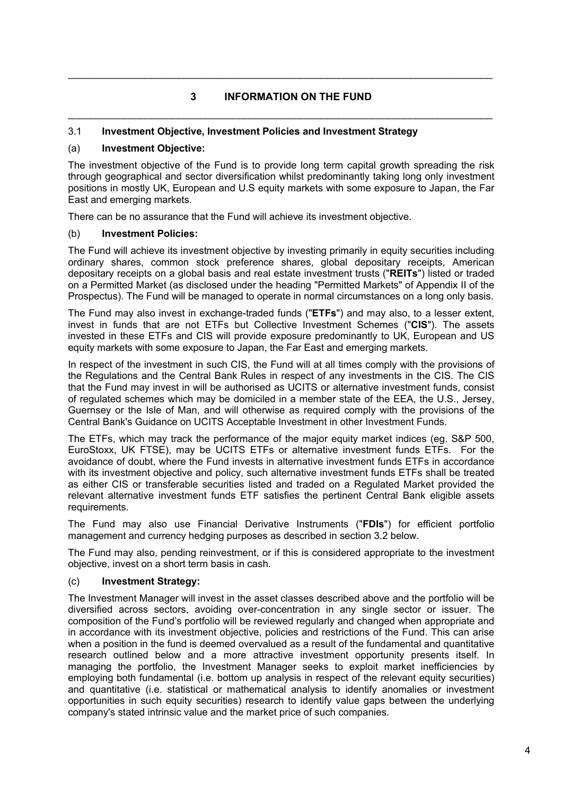# **3 INFORMATION ON THE FUND**  \_\_\_\_\_\_\_\_\_\_\_\_\_\_\_\_\_\_\_\_\_\_\_\_\_\_\_\_\_\_\_\_\_\_\_\_\_\_\_\_\_\_\_\_\_\_\_\_\_\_\_\_\_\_\_\_\_\_\_\_\_\_\_\_\_\_\_\_\_\_\_\_\_\_\_\_\_

\_\_\_\_\_\_\_\_\_\_\_\_\_\_\_\_\_\_\_\_\_\_\_\_\_\_\_\_\_\_\_\_\_\_\_\_\_\_\_\_\_\_\_\_\_\_\_\_\_\_\_\_\_\_\_\_\_\_\_\_\_\_\_\_\_\_\_\_\_\_\_\_\_\_\_\_\_

## 3.1 **Investment Objective, Investment Policies and Investment Strategy**

## (a) **Investment Objective:**

The investment objective of the Fund is to provide long term capital growth spreading the risk through geographical and sector diversification whilst predominantly taking long only investment positions in mostly UK, European and U.S equity markets with some exposure to Japan, the Far East and emerging markets.

There can be no assurance that the Fund will achieve its investment objective.

### (b) **Investment Policies:**

The Fund will achieve its investment objective by investing primarily in equity securities including ordinary shares, common stock preference shares, global depositary receipts, American depositary receipts on a global basis and real estate investment trusts ("**REITs**") listed or traded on a Permitted Market (as disclosed under the heading "Permitted Markets" of Appendix II of the Prospectus). The Fund will be managed to operate in normal circumstances on a long only basis.

The Fund may also invest in exchange-traded funds ("**ETFs**") and may also, to a lesser extent, invest in funds that are not ETFs but Collective Investment Schemes ("**CIS**"). The assets invested in these ETFs and CIS will provide exposure predominantly to UK, European and US equity markets with some exposure to Japan, the Far East and emerging markets.

In respect of the investment in such CIS, the Fund will at all times comply with the provisions of the Regulations and the Central Bank Rules in respect of any investments in the CIS. The CIS that the Fund may invest in will be authorised as UCITS or alternative investment funds, consist of regulated schemes which may be domiciled in a member state of the EEA, the U.S., Jersey, Guernsey or the Isle of Man, and will otherwise as required comply with the provisions of the Central Bank's Guidance on UCITS Acceptable Investment in other Investment Funds.

The ETFs, which may track the performance of the major equity market indices (eg. S&P 500, EuroStoxx, UK FTSE), may be UCITS ETFs or alternative investment funds ETFs. For the avoidance of doubt, where the Fund invests in alternative investment funds ETFs in accordance with its investment objective and policy, such alternative investment funds ETFs shall be treated as either CIS or transferable securities listed and traded on a Regulated Market provided the relevant alternative investment funds ETF satisfies the pertinent Central Bank eligible assets requirements.

The Fund may also use Financial Derivative Instruments ("**FDIs**") for efficient portfolio management and currency hedging purposes as described in section 3.2 below.

The Fund may also, pending reinvestment, or if this is considered appropriate to the investment objective, invest on a short term basis in cash.

#### (c) **Investment Strategy:**

The Investment Manager will invest in the asset classes described above and the portfolio will be diversified across sectors, avoiding over-concentration in any single sector or issuer. The composition of the Fund's portfolio will be reviewed regularly and changed when appropriate and in accordance with its investment objective, policies and restrictions of the Fund. This can arise when a position in the fund is deemed overvalued as a result of the fundamental and quantitative research outlined below and a more attractive investment opportunity presents itself. In managing the portfolio, the Investment Manager seeks to exploit market inefficiencies by employing both fundamental (i.e. bottom up analysis in respect of the relevant equity securities) and quantitative (i.e. statistical or mathematical analysis to identify anomalies or investment opportunities in such equity securities) research to identify value gaps between the underlying company's stated intrinsic value and the market price of such companies.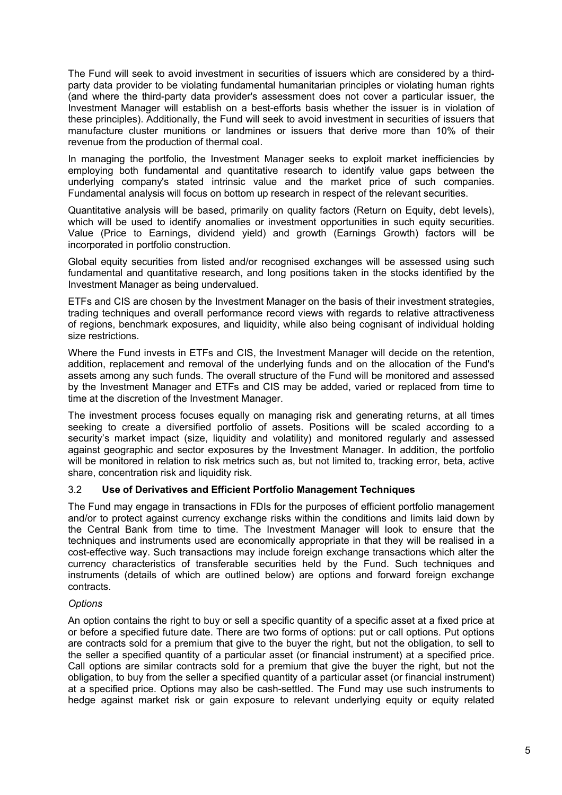The Fund will seek to avoid investment in securities of issuers which are considered by a thirdparty data provider to be violating fundamental humanitarian principles or violating human rights (and where the third-party data provider's assessment does not cover a particular issuer, the Investment Manager will establish on a best-efforts basis whether the issuer is in violation of these principles). Additionally, the Fund will seek to avoid investment in securities of issuers that manufacture cluster munitions or landmines or issuers that derive more than 10% of their revenue from the production of thermal coal.

In managing the portfolio, the Investment Manager seeks to exploit market inefficiencies by employing both fundamental and quantitative research to identify value gaps between the underlying company's stated intrinsic value and the market price of such companies. Fundamental analysis will focus on bottom up research in respect of the relevant securities.

Quantitative analysis will be based, primarily on quality factors (Return on Equity, debt levels), which will be used to identify anomalies or investment opportunities in such equity securities. Value (Price to Earnings, dividend yield) and growth (Earnings Growth) factors will be incorporated in portfolio construction.

Global equity securities from listed and/or recognised exchanges will be assessed using such fundamental and quantitative research, and long positions taken in the stocks identified by the Investment Manager as being undervalued.

ETFs and CIS are chosen by the Investment Manager on the basis of their investment strategies, trading techniques and overall performance record views with regards to relative attractiveness of regions, benchmark exposures, and liquidity, while also being cognisant of individual holding size restrictions.

Where the Fund invests in ETFs and CIS, the Investment Manager will decide on the retention, addition, replacement and removal of the underlying funds and on the allocation of the Fund's assets among any such funds. The overall structure of the Fund will be monitored and assessed by the Investment Manager and ETFs and CIS may be added, varied or replaced from time to time at the discretion of the Investment Manager.

The investment process focuses equally on managing risk and generating returns, at all times seeking to create a diversified portfolio of assets. Positions will be scaled according to a security's market impact (size, liquidity and volatility) and monitored regularly and assessed against geographic and sector exposures by the Investment Manager. In addition, the portfolio will be monitored in relation to risk metrics such as, but not limited to, tracking error, beta, active share, concentration risk and liquidity risk.

## 3.2 **Use of Derivatives and Efficient Portfolio Management Techniques**

The Fund may engage in transactions in FDIs for the purposes of efficient portfolio management and/or to protect against currency exchange risks within the conditions and limits laid down by the Central Bank from time to time. The Investment Manager will look to ensure that the techniques and instruments used are economically appropriate in that they will be realised in a cost-effective way. Such transactions may include foreign exchange transactions which alter the currency characteristics of transferable securities held by the Fund. Such techniques and instruments (details of which are outlined below) are options and forward foreign exchange contracts.

## *Options*

An option contains the right to buy or sell a specific quantity of a specific asset at a fixed price at or before a specified future date. There are two forms of options: put or call options. Put options are contracts sold for a premium that give to the buyer the right, but not the obligation, to sell to the seller a specified quantity of a particular asset (or financial instrument) at a specified price. Call options are similar contracts sold for a premium that give the buyer the right, but not the obligation, to buy from the seller a specified quantity of a particular asset (or financial instrument) at a specified price. Options may also be cash-settled. The Fund may use such instruments to hedge against market risk or gain exposure to relevant underlying equity or equity related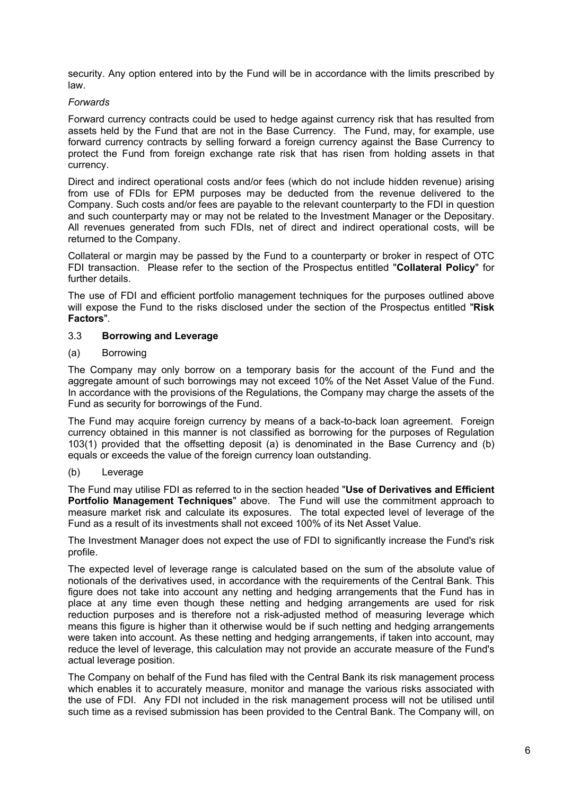security. Any option entered into by the Fund will be in accordance with the limits prescribed by law.

### *Forwards*

Forward currency contracts could be used to hedge against currency risk that has resulted from assets held by the Fund that are not in the Base Currency. The Fund, may, for example, use forward currency contracts by selling forward a foreign currency against the Base Currency to protect the Fund from foreign exchange rate risk that has risen from holding assets in that currency.

Direct and indirect operational costs and/or fees (which do not include hidden revenue) arising from use of FDIs for EPM purposes may be deducted from the revenue delivered to the Company. Such costs and/or fees are payable to the relevant counterparty to the FDI in question and such counterparty may or may not be related to the Investment Manager or the Depositary. All revenues generated from such FDIs, net of direct and indirect operational costs, will be returned to the Company.

Collateral or margin may be passed by the Fund to a counterparty or broker in respect of OTC FDI transaction. Please refer to the section of the Prospectus entitled "**Collateral Policy**" for further details.

The use of FDI and efficient portfolio management techniques for the purposes outlined above will expose the Fund to the risks disclosed under the section of the Prospectus entitled "**Risk Factors**".

### 3.3 **Borrowing and Leverage**

### (a) Borrowing

The Company may only borrow on a temporary basis for the account of the Fund and the aggregate amount of such borrowings may not exceed 10% of the Net Asset Value of the Fund. In accordance with the provisions of the Regulations, the Company may charge the assets of the Fund as security for borrowings of the Fund.

The Fund may acquire foreign currency by means of a back-to-back loan agreement. Foreign currency obtained in this manner is not classified as borrowing for the purposes of Regulation 103(1) provided that the offsetting deposit (a) is denominated in the Base Currency and (b) equals or exceeds the value of the foreign currency loan outstanding.

#### (b) Leverage

The Fund may utilise FDI as referred to in the section headed "**Use of Derivatives and Efficient Portfolio Management Techniques**" above. The Fund will use the commitment approach to measure market risk and calculate its exposures. The total expected level of leverage of the Fund as a result of its investments shall not exceed 100% of its Net Asset Value.

The Investment Manager does not expect the use of FDI to significantly increase the Fund's risk profile.

The expected level of leverage range is calculated based on the sum of the absolute value of notionals of the derivatives used, in accordance with the requirements of the Central Bank. This figure does not take into account any netting and hedging arrangements that the Fund has in place at any time even though these netting and hedging arrangements are used for risk reduction purposes and is therefore not a risk-adjusted method of measuring leverage which means this figure is higher than it otherwise would be if such netting and hedging arrangements were taken into account. As these netting and hedging arrangements, if taken into account, may reduce the level of leverage, this calculation may not provide an accurate measure of the Fund's actual leverage position.

The Company on behalf of the Fund has filed with the Central Bank its risk management process which enables it to accurately measure, monitor and manage the various risks associated with the use of FDI. Any FDI not included in the risk management process will not be utilised until such time as a revised submission has been provided to the Central Bank. The Company will, on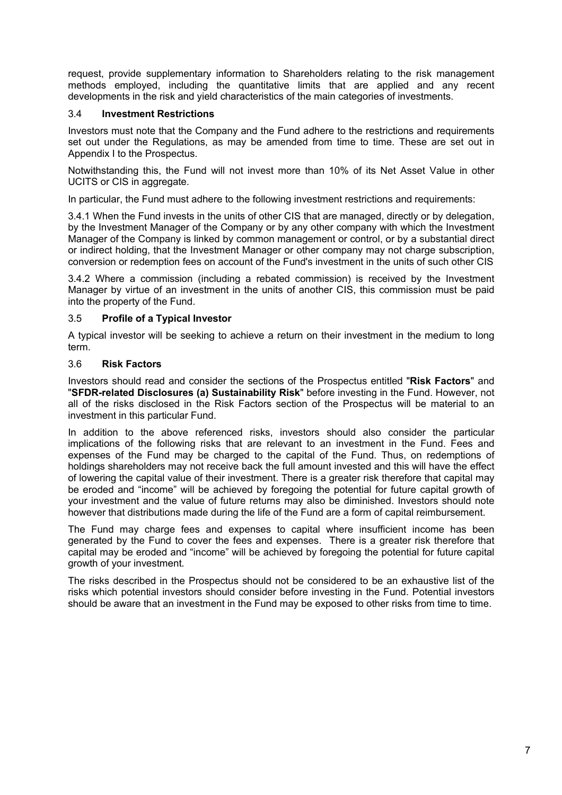request, provide supplementary information to Shareholders relating to the risk management methods employed, including the quantitative limits that are applied and any recent developments in the risk and yield characteristics of the main categories of investments.

## 3.4 **Investment Restrictions**

Investors must note that the Company and the Fund adhere to the restrictions and requirements set out under the Regulations, as may be amended from time to time. These are set out in Appendix I to the Prospectus.

Notwithstanding this, the Fund will not invest more than 10% of its Net Asset Value in other UCITS or CIS in aggregate.

In particular, the Fund must adhere to the following investment restrictions and requirements:

3.4.1 When the Fund invests in the units of other CIS that are managed, directly or by delegation, by the Investment Manager of the Company or by any other company with which the Investment Manager of the Company is linked by common management or control, or by a substantial direct or indirect holding, that the Investment Manager or other company may not charge subscription, conversion or redemption fees on account of the Fund's investment in the units of such other CIS

3.4.2 Where a commission (including a rebated commission) is received by the Investment Manager by virtue of an investment in the units of another CIS, this commission must be paid into the property of the Fund.

### 3.5 **Profile of a Typical Investor**

A typical investor will be seeking to achieve a return on their investment in the medium to long term.

### 3.6 **Risk Factors**

Investors should read and consider the sections of the Prospectus entitled "**Risk Factors**" and "**SFDR-related Disclosures (a) Sustainability Risk**" before investing in the Fund. However, not all of the risks disclosed in the Risk Factors section of the Prospectus will be material to an investment in this particular Fund.

In addition to the above referenced risks, investors should also consider the particular implications of the following risks that are relevant to an investment in the Fund. Fees and expenses of the Fund may be charged to the capital of the Fund. Thus, on redemptions of holdings shareholders may not receive back the full amount invested and this will have the effect of lowering the capital value of their investment. There is a greater risk therefore that capital may be eroded and "income" will be achieved by foregoing the potential for future capital growth of your investment and the value of future returns may also be diminished. Investors should note however that distributions made during the life of the Fund are a form of capital reimbursement.

The Fund may charge fees and expenses to capital where insufficient income has been generated by the Fund to cover the fees and expenses. There is a greater risk therefore that capital may be eroded and "income" will be achieved by foregoing the potential for future capital growth of your investment.

The risks described in the Prospectus should not be considered to be an exhaustive list of the risks which potential investors should consider before investing in the Fund. Potential investors should be aware that an investment in the Fund may be exposed to other risks from time to time.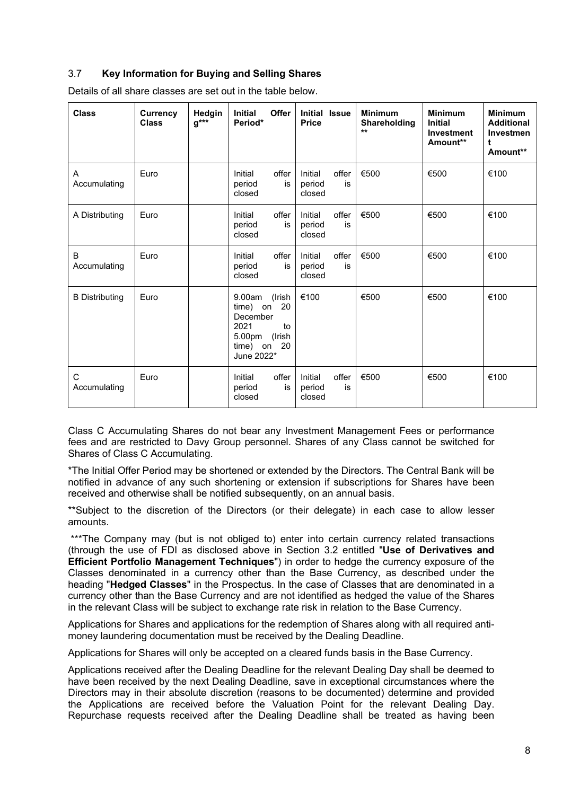# 3.7 **Key Information for Buying and Selling Shares**

| <b>Class</b>          | <b>Currency</b><br><b>Class</b> | Hedgin<br>$g^{***}$ | <b>Offer</b><br><b>Initial</b><br>Period*                                                                                | Initial Issue<br><b>Price</b>              | <b>Minimum</b><br><b>Shareholding</b><br>$***$ | <b>Minimum</b><br><b>Initial</b><br>Investment<br>Amount** | <b>Minimum</b><br><b>Additional</b><br>Investmen<br>t<br>Amount** |
|-----------------------|---------------------------------|---------------------|--------------------------------------------------------------------------------------------------------------------------|--------------------------------------------|------------------------------------------------|------------------------------------------------------------|-------------------------------------------------------------------|
| Α<br>Accumulating     | Euro                            |                     | offer<br>Initial<br>period<br>is<br>closed                                                                               | offer<br>Initial<br>period<br>is<br>closed | €500                                           | €500                                                       | €100                                                              |
| A Distributing        | Euro                            |                     | Initial<br>offer<br>period<br>is<br>closed                                                                               | Initial<br>offer<br>period<br>is<br>closed | €500                                           | €500                                                       | €100                                                              |
| B<br>Accumulating     | Euro                            |                     | offer<br>Initial<br>period<br>is<br>closed                                                                               | Initial<br>offer<br>period<br>is<br>closed | €500                                           | €500                                                       | €100                                                              |
| <b>B</b> Distributing | Euro                            |                     | 9.00am<br>(Irish<br>20<br>time) on<br>December<br>2021<br>$\mathsf{to}$<br>5.00pm<br>(Irish<br>time) on 20<br>June 2022* | €100                                       | €500                                           | €500                                                       | €100                                                              |
| С<br>Accumulating     | Euro                            |                     | offer<br>Initial<br>period<br>is<br>closed                                                                               | Initial<br>offer<br>period<br>is<br>closed | €500                                           | €500                                                       | €100                                                              |

Details of all share classes are set out in the table below.

Class C Accumulating Shares do not bear any Investment Management Fees or performance fees and are restricted to Davy Group personnel. Shares of any Class cannot be switched for Shares of Class C Accumulating.

\*The Initial Offer Period may be shortened or extended by the Directors. The Central Bank will be notified in advance of any such shortening or extension if subscriptions for Shares have been received and otherwise shall be notified subsequently, on an annual basis.

\*\*Subject to the discretion of the Directors (or their delegate) in each case to allow lesser amounts.

\*\*\*The Company may (but is not obliged to) enter into certain currency related transactions (through the use of FDI as disclosed above in Section 3.2 entitled "**Use of Derivatives and Efficient Portfolio Management Techniques**") in order to hedge the currency exposure of the Classes denominated in a currency other than the Base Currency, as described under the heading "**Hedged Classes**" in the Prospectus. In the case of Classes that are denominated in a currency other than the Base Currency and are not identified as hedged the value of the Shares in the relevant Class will be subject to exchange rate risk in relation to the Base Currency.

Applications for Shares and applications for the redemption of Shares along with all required antimoney laundering documentation must be received by the Dealing Deadline.

Applications for Shares will only be accepted on a cleared funds basis in the Base Currency.

Applications received after the Dealing Deadline for the relevant Dealing Day shall be deemed to have been received by the next Dealing Deadline, save in exceptional circumstances where the Directors may in their absolute discretion (reasons to be documented) determine and provided the Applications are received before the Valuation Point for the relevant Dealing Day. Repurchase requests received after the Dealing Deadline shall be treated as having been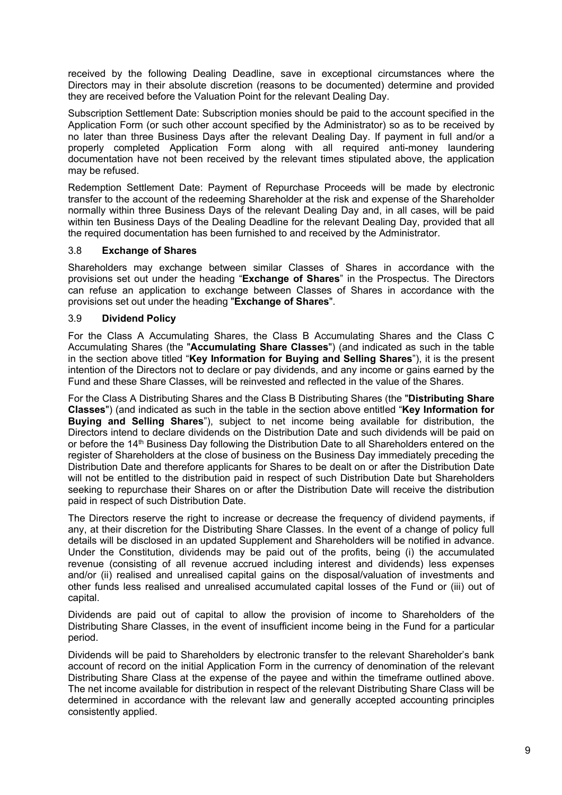received by the following Dealing Deadline, save in exceptional circumstances where the Directors may in their absolute discretion (reasons to be documented) determine and provided they are received before the Valuation Point for the relevant Dealing Day.

Subscription Settlement Date: Subscription monies should be paid to the account specified in the Application Form (or such other account specified by the Administrator) so as to be received by no later than three Business Days after the relevant Dealing Day. If payment in full and/or a properly completed Application Form along with all required anti-money laundering documentation have not been received by the relevant times stipulated above, the application may be refused.

Redemption Settlement Date: Payment of Repurchase Proceeds will be made by electronic transfer to the account of the redeeming Shareholder at the risk and expense of the Shareholder normally within three Business Days of the relevant Dealing Day and, in all cases, will be paid within ten Business Days of the Dealing Deadline for the relevant Dealing Day, provided that all the required documentation has been furnished to and received by the Administrator.

## 3.8 **Exchange of Shares**

Shareholders may exchange between similar Classes of Shares in accordance with the provisions set out under the heading "**Exchange of Shares**" in the Prospectus. The Directors can refuse an application to exchange between Classes of Shares in accordance with the provisions set out under the heading "**Exchange of Shares**".

### 3.9 **Dividend Policy**

For the Class A Accumulating Shares, the Class B Accumulating Shares and the Class C Accumulating Shares (the "**Accumulating Share Classes**") (and indicated as such in the table in the section above titled "**Key Information for Buying and Selling Shares**"), it is the present intention of the Directors not to declare or pay dividends, and any income or gains earned by the Fund and these Share Classes, will be reinvested and reflected in the value of the Shares.

For the Class A Distributing Shares and the Class B Distributing Shares (the "**Distributing Share Classes**") (and indicated as such in the table in the section above entitled "**Key Information for Buying and Selling Shares**"), subject to net income being available for distribution, the Directors intend to declare dividends on the Distribution Date and such dividends will be paid on or before the 14<sup>th</sup> Business Day following the Distribution Date to all Shareholders entered on the register of Shareholders at the close of business on the Business Day immediately preceding the Distribution Date and therefore applicants for Shares to be dealt on or after the Distribution Date will not be entitled to the distribution paid in respect of such Distribution Date but Shareholders seeking to repurchase their Shares on or after the Distribution Date will receive the distribution paid in respect of such Distribution Date.

The Directors reserve the right to increase or decrease the frequency of dividend payments, if any, at their discretion for the Distributing Share Classes. In the event of a change of policy full details will be disclosed in an updated Supplement and Shareholders will be notified in advance. Under the Constitution, dividends may be paid out of the profits, being (i) the accumulated revenue (consisting of all revenue accrued including interest and dividends) less expenses and/or (ii) realised and unrealised capital gains on the disposal/valuation of investments and other funds less realised and unrealised accumulated capital losses of the Fund or (iii) out of capital.

Dividends are paid out of capital to allow the provision of income to Shareholders of the Distributing Share Classes, in the event of insufficient income being in the Fund for a particular period.

Dividends will be paid to Shareholders by electronic transfer to the relevant Shareholder's bank account of record on the initial Application Form in the currency of denomination of the relevant Distributing Share Class at the expense of the payee and within the timeframe outlined above. The net income available for distribution in respect of the relevant Distributing Share Class will be determined in accordance with the relevant law and generally accepted accounting principles consistently applied.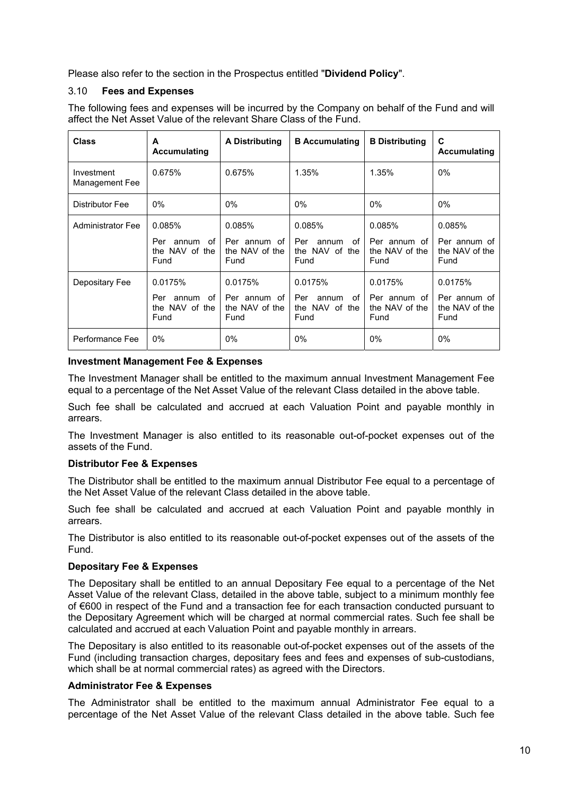Please also refer to the section in the Prospectus entitled "**Dividend Policy**".

## 3.10 **Fees and Expenses**

The following fees and expenses will be incurred by the Company on behalf of the Fund and will affect the Net Asset Value of the relevant Share Class of the Fund.

| <b>Class</b>                 | A<br>Accumulating                                      | <b>A Distributing</b>                             | <b>B</b> Accumulating                                   | <b>B</b> Distributing                             | C<br>Accumulating                                 |
|------------------------------|--------------------------------------------------------|---------------------------------------------------|---------------------------------------------------------|---------------------------------------------------|---------------------------------------------------|
| Investment<br>Management Fee | 0.675%                                                 | 0.675%                                            | 1.35%                                                   | 1.35%                                             | 0%                                                |
| Distributor Fee              | 0%                                                     | $0\%$                                             | $0\%$                                                   | $0\%$                                             | $0\%$                                             |
| <b>Administrator Fee</b>     | 0.085%<br>Per<br>annum<br>of<br>the NAV of the<br>Fund | 0.085%<br>Per annum of<br>the NAV of the<br>Fund  | 0.085%<br>Per<br>annum<br>Ωf<br>the NAV of the<br>Fund  | 0.085%<br>Per annum of<br>the NAV of the<br>Fund  | 0.085%<br>Per annum of<br>the NAV of the<br>Fund  |
| Depositary Fee               | 0.0175%<br>Per<br>annum of<br>the NAV of the<br>Fund   | 0.0175%<br>Per annum of<br>the NAV of the<br>Fund | 0.0175%<br>Per<br>оf<br>annum<br>the NAV of the<br>Fund | 0.0175%<br>Per annum of<br>the NAV of the<br>Fund | 0.0175%<br>Per annum of<br>the NAV of the<br>Fund |
| Performance Fee              | $0\%$                                                  | $0\%$                                             | 0%                                                      | $0\%$                                             | $0\%$                                             |

### **Investment Management Fee & Expenses**

The Investment Manager shall be entitled to the maximum annual Investment Management Fee equal to a percentage of the Net Asset Value of the relevant Class detailed in the above table.

Such fee shall be calculated and accrued at each Valuation Point and payable monthly in arrears.

The Investment Manager is also entitled to its reasonable out-of-pocket expenses out of the assets of the Fund.

#### **Distributor Fee & Expenses**

The Distributor shall be entitled to the maximum annual Distributor Fee equal to a percentage of the Net Asset Value of the relevant Class detailed in the above table.

Such fee shall be calculated and accrued at each Valuation Point and payable monthly in arrears.

The Distributor is also entitled to its reasonable out-of-pocket expenses out of the assets of the Fund.

## **Depositary Fee & Expenses**

The Depositary shall be entitled to an annual Depositary Fee equal to a percentage of the Net Asset Value of the relevant Class, detailed in the above table, subject to a minimum monthly fee of €600 in respect of the Fund and a transaction fee for each transaction conducted pursuant to the Depositary Agreement which will be charged at normal commercial rates. Such fee shall be calculated and accrued at each Valuation Point and payable monthly in arrears.

The Depositary is also entitled to its reasonable out-of-pocket expenses out of the assets of the Fund (including transaction charges, depositary fees and fees and expenses of sub-custodians, which shall be at normal commercial rates) as agreed with the Directors.

## **Administrator Fee & Expenses**

The Administrator shall be entitled to the maximum annual Administrator Fee equal to a percentage of the Net Asset Value of the relevant Class detailed in the above table. Such fee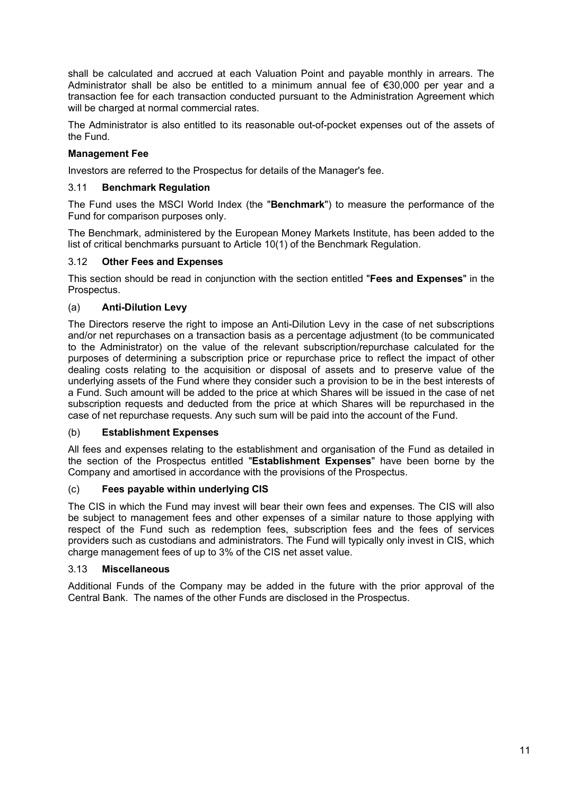shall be calculated and accrued at each Valuation Point and payable monthly in arrears. The Administrator shall be also be entitled to a minimum annual fee of €30,000 per year and a transaction fee for each transaction conducted pursuant to the Administration Agreement which will be charged at normal commercial rates.

The Administrator is also entitled to its reasonable out-of-pocket expenses out of the assets of the Fund.

# **Management Fee**

Investors are referred to the Prospectus for details of the Manager's fee.

## 3.11 **Benchmark Regulation**

The Fund uses the MSCI World Index (the "**Benchmark**") to measure the performance of the Fund for comparison purposes only.

The Benchmark, administered by the European Money Markets Institute, has been added to the list of critical benchmarks pursuant to Article 10(1) of the Benchmark Regulation.

### 3.12 **Other Fees and Expenses**

This section should be read in conjunction with the section entitled "**Fees and Expenses**" in the Prospectus.

### (a) **Anti-Dilution Levy**

The Directors reserve the right to impose an Anti-Dilution Levy in the case of net subscriptions and/or net repurchases on a transaction basis as a percentage adjustment (to be communicated to the Administrator) on the value of the relevant subscription/repurchase calculated for the purposes of determining a subscription price or repurchase price to reflect the impact of other dealing costs relating to the acquisition or disposal of assets and to preserve value of the underlying assets of the Fund where they consider such a provision to be in the best interests of a Fund. Such amount will be added to the price at which Shares will be issued in the case of net subscription requests and deducted from the price at which Shares will be repurchased in the case of net repurchase requests. Any such sum will be paid into the account of the Fund.

### (b) **Establishment Expenses**

All fees and expenses relating to the establishment and organisation of the Fund as detailed in the section of the Prospectus entitled "**Establishment Expenses**" have been borne by the Company and amortised in accordance with the provisions of the Prospectus.

#### (c) **Fees payable within underlying CIS**

The CIS in which the Fund may invest will bear their own fees and expenses. The CIS will also be subject to management fees and other expenses of a similar nature to those applying with respect of the Fund such as redemption fees, subscription fees and the fees of services providers such as custodians and administrators. The Fund will typically only invest in CIS, which charge management fees of up to 3% of the CIS net asset value.

#### 3.13 **Miscellaneous**

Additional Funds of the Company may be added in the future with the prior approval of the Central Bank. The names of the other Funds are disclosed in the Prospectus.